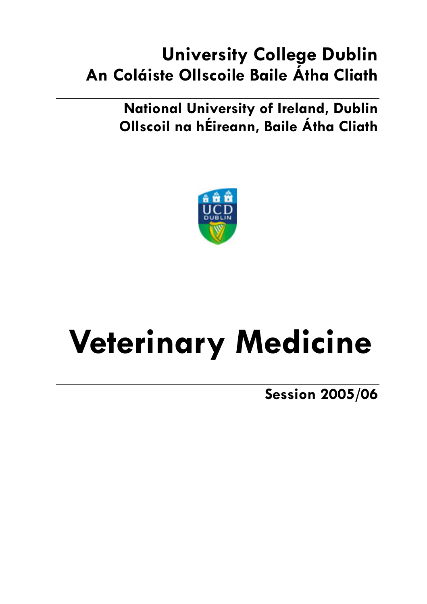# **University College Dublin** An Coláiste Ollscoile Baile Átha Cliath

**National University of Ireland, Dublin** Ollscoil na hÉireann, Baile Átha Cliath



# **Veterinary Medicine**

**Session 2005/06**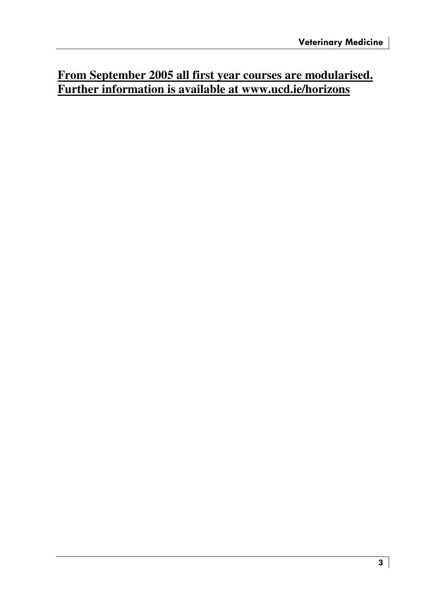# **From September 2005 all first year courses are modularised. Further information is available at www.ucd.ie/horizons**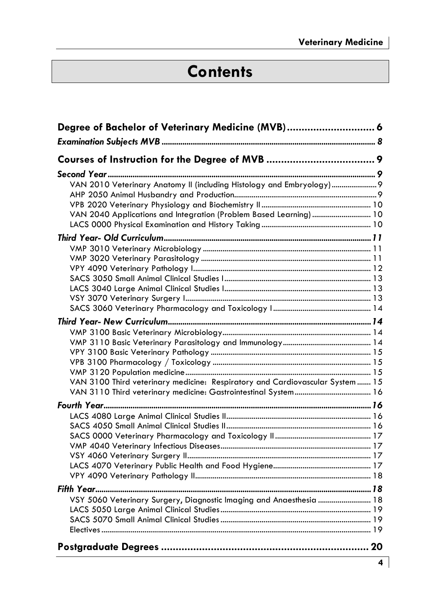# **Contents**

| Degree of Bachelor of Veterinary Medicine (MVB) 6                             |  |
|-------------------------------------------------------------------------------|--|
|                                                                               |  |
|                                                                               |  |
|                                                                               |  |
| VAN 2010 Veterinary Anatomy II (including Histology and Embryology)  9        |  |
|                                                                               |  |
|                                                                               |  |
| VAN 2040 Applications and Integration (Problem Based Learning)  10            |  |
|                                                                               |  |
|                                                                               |  |
|                                                                               |  |
|                                                                               |  |
|                                                                               |  |
|                                                                               |  |
|                                                                               |  |
|                                                                               |  |
|                                                                               |  |
|                                                                               |  |
|                                                                               |  |
|                                                                               |  |
|                                                                               |  |
|                                                                               |  |
| VAN 3100 Third veterinary medicine: Respiratory and Cardiovascular System  15 |  |
|                                                                               |  |
|                                                                               |  |
|                                                                               |  |
|                                                                               |  |
|                                                                               |  |
|                                                                               |  |
|                                                                               |  |
|                                                                               |  |
|                                                                               |  |
|                                                                               |  |
| VSY 5060 Veterinary Surgery, Diagnostic Imaging and Anaesthesia  18           |  |
|                                                                               |  |
|                                                                               |  |
|                                                                               |  |
|                                                                               |  |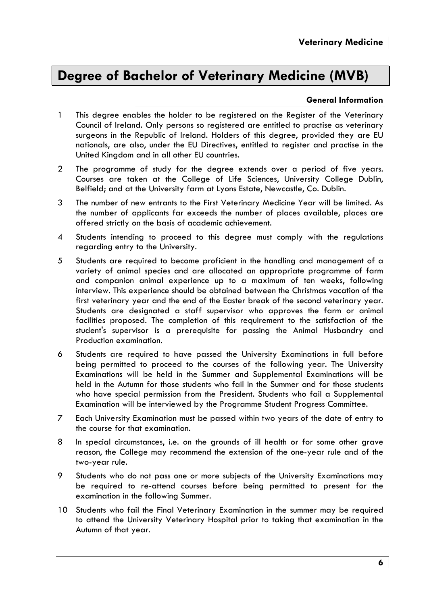# Dearee of Bachelor of Veterinary Medicine (MVB)

### **General Information**

- $\mathbf{1}$ This degree enables the holder to be registered on the Register of the Veterinary Council of Ireland. Only persons so registered are entitled to practise as veterinary surgeons in the Republic of Ireland. Holders of this degree, provided they are EU nationals, are also, under the EU Directives, entitled to register and practise in the United Kingdom and in all other EU countries.
- $\overline{2}$ The programme of study for the degree extends over a period of five years. Courses are taken at the College of Life Sciences, University College Dublin, Belfield; and at the University farm at Lyons Estate, Newcastle, Co. Dublin.
- $\mathcal{R}$ The number of new entrants to the First Veterinary Medicine Year will be limited. As the number of applicants far exceeds the number of places available, places are offered strictly on the basis of academic achievement.
- $\overline{4}$ Students intending to proceed to this degree must comply with the regulations regarding entry to the University.
- 5 Students are required to become proficient in the handling and management of a variety of animal species and are allocated an appropriate programme of farm and companion animal experience up to a maximum of ten weeks, following interview. This experience should be obtained between the Christmas vacation of the first veterinary year and the end of the Easter break of the second veterinary year. Students are designated a staff supervisor who approves the farm or animal facilities proposed. The completion of this requirement to the satisfaction of the student's supervisor is a prerequisite for passing the Animal Husbandry and Production examination.
- Students are required to have passed the University Examinations in full before 6 being permitted to proceed to the courses of the following year. The University Examinations will be held in the Summer and Supplemental Examinations will be held in the Autumn for those students who fail in the Summer and for those students who have special permission from the President. Students who fail a Supplemental Examination will be interviewed by the Programme Student Progress Committee.
- $\overline{7}$ Each University Examination must be passed within two years of the date of entry to the course for that examination.
- In special circumstances, i.e. on the grounds of ill health or for some other grave 8 reason, the College may recommend the extension of the one-year rule and of the two-year rule.
- 9 Students who do not pass one or more subjects of the University Examinations may be required to re-attend courses before being permitted to present for the examination in the following Summer.
- 10 Students who fail the Final Veterinary Examination in the summer may be required to attend the University Veterinary Hospital prior to taking that examination in the Autumn of that year.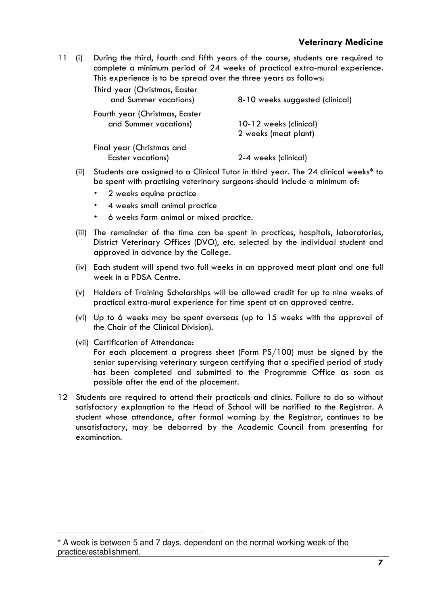$11 (i)$ During the third, fourth and fifth years of the course, students are required to complete a minimum period of 24 weeks of practical extra-mural experience. This experience is to be spread over the three years as follows:

| Third year (Christmas, Easter<br>and Summer vacations)  | 8-10 weeks suggested (clinical)                |
|---------------------------------------------------------|------------------------------------------------|
| Fourth year (Christmas, Easter<br>and Summer vacations) | 10-12 weeks (clinical)<br>2 weeks (meat plant) |
| Final year (Christmas and<br>Easter vacations)          | 2-4 weeks (clinical)                           |

- (ii) Students are assigned to a Clinical Tutor in third year. The 24 clinical weeks\* to be spent with practising veterinary surgeons should include a minimum of:
	- 2 weeks equine practice
	- 4 weeks small animal practice
	- 6 weeks farm animal or mixed practice.
- (iii) The remainder of the time can be spent in practices, hospitals, laboratories, District Veterinary Offices (DVO), etc. selected by the individual student and approved in advance by the College.
- (iv) Each student will spend two full weeks in an approved meat plant and one full week in a PDSA Centre.
- (v) Holders of Training Scholarships will be allowed credit for up to nine weeks of practical extra-mural experience for time spent at an approved centre.
- (vi) Up to 6 weeks may be spent overseas (up to 15 weeks with the approval of the Chair of the Clinical Division).
- (vii) Certification of Attendance:

For each placement a progress sheet (Form PS/100) must be signed by the senior supervising veterinary surgeon certifying that a specified period of study has been completed and submitted to the Programme Office as soon as possible after the end of the placement.

12 Students are required to attend their practicals and clinics. Failure to do so without satisfactory explanation to the Head of School will be notified to the Registrar. A student whose attendance, after formal warning by the Registrar, continues to be unsatisfactory, may be debarred by the Academic Council from presenting for examination.

<sup>\*</sup> A week is between 5 and 7 days, dependent on the normal working week of the practice/establishment.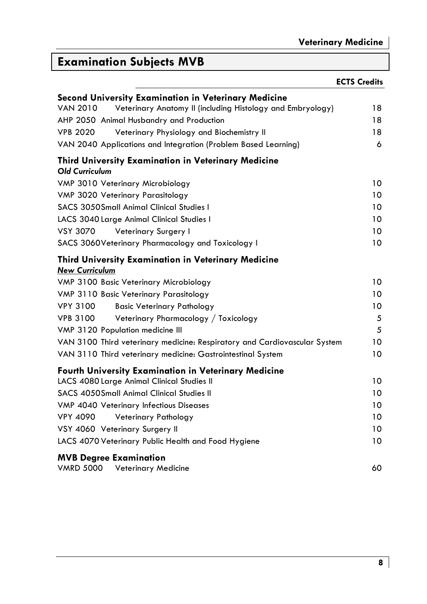# **Examination Subjects MVB**

|                                                                                     | <b>ECTS Credits</b> |
|-------------------------------------------------------------------------------------|---------------------|
| Second University Examination in Veterinary Medicine                                |                     |
| <b>VAN 2010</b><br>Veterinary Anatomy II (including Histology and Embryology)       | 18                  |
| AHP 2050 Animal Husbandry and Production                                            | 18                  |
| <b>VPB 2020</b><br>Veterinary Physiology and Biochemistry II                        | 18                  |
| VAN 2040 Applications and Integration (Problem Based Learning)                      | 6                   |
| <b>Third University Examination in Veterinary Medicine</b><br><b>Old Curriculum</b> |                     |
| VMP 3010 Veterinary Microbiology                                                    | 10                  |
| VMP 3020 Veterinary Parasitology                                                    | 10                  |
| <b>SACS 3050Small Animal Clinical Studies I</b>                                     | 10                  |
| LACS 3040 Large Animal Clinical Studies I                                           | 10                  |
| <b>VSY 3070</b><br>Veterinary Surgery I                                             | 10                  |
| SACS 3060Veterinary Pharmacology and Toxicology I                                   | 10                  |
| <b>Third University Examination in Veterinary Medicine</b><br><b>New Curriculum</b> |                     |
| VMP 3100 Basic Veterinary Microbiology                                              | 10                  |
| VMP 3110 Basic Veterinary Parasitology                                              | 10                  |
| <b>VPY 3100</b><br><b>Basic Veterinary Pathology</b>                                | 10                  |
| <b>VPB 3100</b><br>Veterinary Pharmacology / Toxicology                             | 5                   |
| VMP 3120 Population medicine III                                                    | 5                   |
| VAN 3100 Third veterinary medicine: Respiratory and Cardiovascular System           | 10                  |
| VAN 3110 Third veterinary medicine: Gastrointestinal System                         | 10                  |
| <b>Fourth University Examination in Veterinary Medicine</b>                         |                     |
| LACS 4080 Large Animal Clinical Studies II                                          | 10                  |
| SACS 4050 Small Animal Clinical Studies II                                          | 10                  |
| VMP 4040 Veterinary Infectious Diseases                                             | 10                  |
| <b>VPY 4090</b><br>Veterinary Pathology                                             | 10                  |
| VSY 4060 Veterinary Surgery II                                                      | 10                  |
| LACS 4070 Veterinary Public Health and Food Hygiene                                 | 10                  |
| <b>MVB Degree Examination</b><br><b>VMRD 5000</b><br>Veterinary Medicine            | 60                  |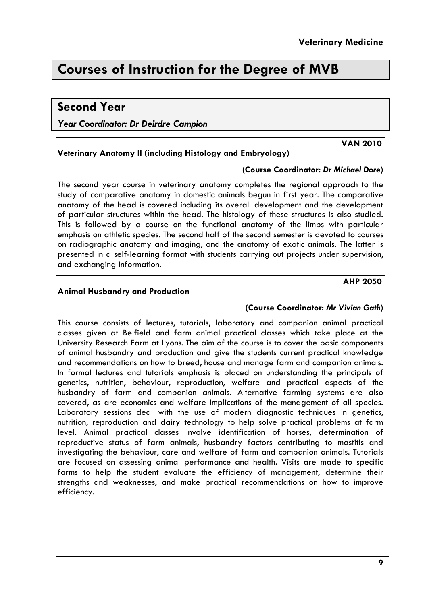**VAN 2010** 

**AHP 2050** 

# **Courses of Instruction for the Dearee of MVB**

Veterinary Anatomy II (including Histology and Embryology)

### **Second Year**

Year Coordinator: Dr Deirdre Campion

### (Course Coordinator: Dr Michael Dore)

The second year course in veterinary anatomy completes the regional approach to the study of comparative anatomy in domestic animals begun in first year. The comparative anatomy of the head is covered including its overall development and the development of particular structures within the head. The histology of these structures is also studied. This is followed by a course on the functional anatomy of the limbs with particular emphasis on athletic species. The second half of the second semester is devoted to courses on radiographic anatomy and imaging, and the anatomy of exotic animals. The latter is presented in a self-learning format with students carrying out projects under supervision, and exchanging information.

### **Animal Husbandry and Production**

### (Course Coordinator: Mr Vivian Gath)

This course consists of lectures, tutorials, laboratory and companion animal practical classes given at Belfield and farm animal practical classes which take place at the University Research Farm at Lyons. The aim of the course is to cover the basic components of animal husbandry and production and give the students current practical knowledge and recommendations on how to breed, house and manage farm and companion animals. In formal lectures and tutorials emphasis is placed on understanding the principals of genetics, nutrition, behaviour, reproduction, welfare and practical aspects of the husbandry of farm and companion animals. Alternative farming systems are also covered, as are economics and welfare implications of the management of all species. Laboratory sessions deal with the use of modern diagnostic techniques in genetics, nutrition, reproduction and dairy technology to help solve practical problems at farm level. Animal practical classes involve identification of horses, determination of reproductive status of farm animals, husbandry factors contributing to mastitis and investigating the behaviour, care and welfare of farm and companion animals. Tutorials are focused on assessing animal performance and health. Visits are made to specific farms to help the student evaluate the efficiency of management, determine their strengths and weaknesses, and make practical recommendations on how to improve efficiency.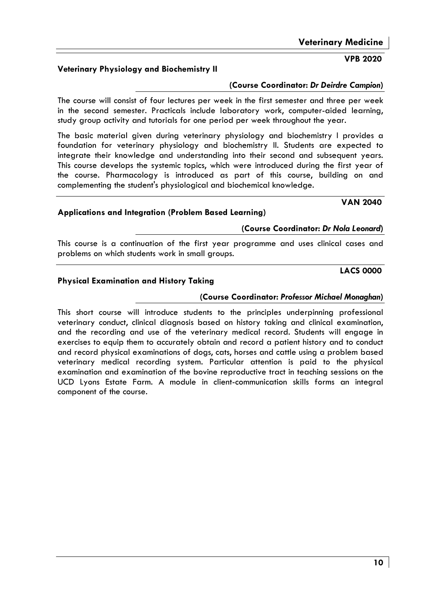### Veterinary Physiology and Biochemistry II

### (Course Coordinator: Dr Deirdre Campion)

The course will consist of four lectures per week in the first semester and three per week in the second semester. Practicals include laboratory work, computer-aided learning, study group activity and tutorials for one period per week throughout the year.

The basic material given during veterinary physiology and biochemistry I provides a foundation for veterinary physiology and biochemistry II. Students are expected to integrate their knowledge and understanding into their second and subsequent years. This course develops the systemic topics, which were introduced during the first year of the course. Pharmacology is introduced as part of this course, building on and complementing the student's physiological and biochemical knowledge.

### **Applications and Integration (Problem Based Learning)**

### (Course Coordinator: Dr Nola Leonard)

This course is a continuation of the first year programme and uses clinical cases and problems on which students work in small groups.

### **LACS 0000**

**VAN 2040** 

### **Physical Examination and History Taking**

### (Course Coordinator: Professor Michael Monaghan)

This short course will introduce students to the principles underpinning professional veterinary conduct, clinical diagnosis based on history taking and clinical examination, and the recording and use of the veterinary medical record. Students will engage in exercises to equip them to accurately obtain and record a patient history and to conduct and record physical examinations of dogs, cats, horses and cattle using a problem based veterinary medical recording system. Particular attention is paid to the physical examination and examination of the bovine reproductive tract in teaching sessions on the UCD Lyons Estate Farm. A module in client-communication skills forms an integral component of the course.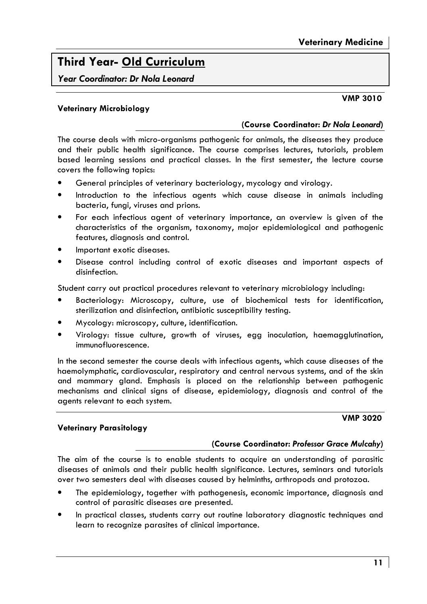# **Third Year- Old Curriculum**

Year Coordinator: Dr Nola Leonard

### **Veterinary Microbiology**

### (Course Coordinator: Dr Nola Leonard)

The course deals with micro-organisms pathogenic for animals, the diseases they produce and their public health significance. The course comprises lectures, tutorials, problem based learning sessions and practical classes. In the first semester, the lecture course covers the following topics:

- General principles of veterinary bacteriology, mycology and virology.
- Introduction to the infectious agents which cause disease in animals including bacteria, fungi, viruses and prions.
- For each infectious agent of veterinary importance, an overview is given of the characteristics of the organism, taxonomy, major epidemiological and pathogenic features, diagnosis and control.
- Important exotic diseases.
- Disease control including control of exotic diseases and important aspects of disinfection.

Student carry out practical procedures relevant to veterinary microbiology including:

- Bacteriology: Microscopy, culture, use of biochemical tests for identification, sterilization and disinfection, antibiotic susceptibility testing.
- Mycology: microscopy, culture, identification.
- Virology: tissue culture, growth of viruses, egg inoculation, haemagglutination, immunofluorescence.

In the second semester the course deals with infectious agents, which cause diseases of the haemolymphatic, cardiovascular, respiratory and central nervous systems, and of the skin and mammary gland. Emphasis is placed on the relationship between pathogenic mechanisms and clinical signs of disease, epidemiology, diagnosis and control of the agents relevant to each system.

**VMP 3020** 

### **Veterinary Parasitology**

### (Course Coordinator: Professor Grace Mulcahy)

The aim of the course is to enable students to acquire an understanding of parasitic diseases of animals and their public health significance. Lectures, seminars and tutorials over two semesters deal with diseases caused by helminths, arthropods and protozoa.

- The epidemiology, together with pathogenesis, economic importance, diagnosis and control of parasitic diseases are presented.
- In practical classes, students carry out routine laboratory diagnostic techniques and learn to recognize parasites of clinical importance.

**VMP 3010**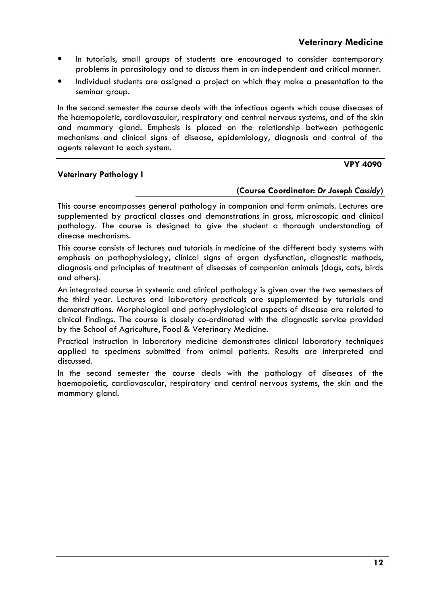**VPY 4090** 

- In tutorials, small groups of students are encouraged to consider contemporary problems in parasitology and to discuss them in an independent and critical manner.
- Individual students are assigned a project on which they make a presentation to the seminar group.

In the second semester the course deals with the infectious agents which cause diseases of the haemopoietic, cardiovascular, respiratory and central nervous systems, and of the skin and mammary gland. Emphasis is placed on the relationship between pathogenic mechanisms and clinical signs of disease, epidemiology, diagnosis and control of the agents relevant to each system.

### **Veterinary Pathology I**

# (Course Coordinator: Dr Joseph Cassidy)

This course encompasses general pathology in companion and farm animals. Lectures are supplemented by practical classes and demonstrations in gross, microscopic and clinical pathology. The course is designed to give the student a thorough understanding of disease mechanisms.

This course consists of lectures and tutorials in medicine of the different body systems with emphasis on pathophysiology, clinical signs of organ dysfunction, diagnostic methods, diganosis and principles of treatment of diseases of companion animals (dogs, cats, birds and others).

An integrated course in systemic and clinical pathology is given over the two semesters of the third year. Lectures and laboratory practicals are supplemented by tutorials and demonstrations. Morphological and pathophysiological aspects of disease are related to clinical findings. The course is closely co-ordinated with the diagnostic service provided by the School of Agriculture, Food & Veterinary Medicine.

Practical instruction in laboratory medicine demonstrates clinical laboratory techniques applied to specimens submitted from animal patients. Results are interpreted and discussed.

In the second semester the course deals with the pathology of diseases of the haemopoietic, cardiovascular, respiratory and central nervous systems, the skin and the mammary gland.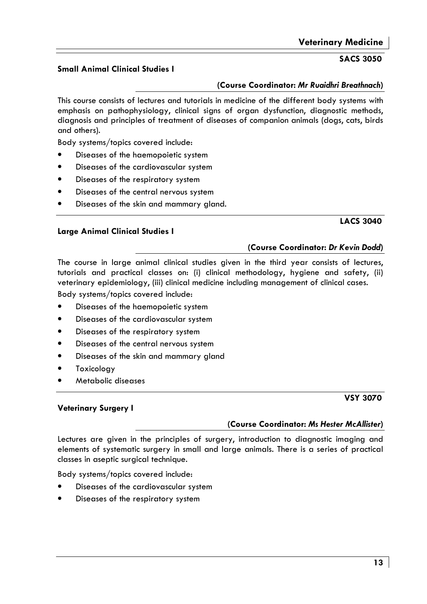### **Veterinary Medicine**

### **SACS 3050**

### Small Animal Clinical Studies I

### (Course Coordinator: Mr Ruaidhri Breathnach)

This course consists of lectures and tutorials in medicine of the different body systems with emphasis on pathophysiology, clinical signs of organ dysfunction, diagnostic methods, diagnosis and principles of treatment of diseases of companion animals (dogs, cats, birds and others).

Body systems/topics covered include:

- Diseases of the haemopoietic system
- Diseases of the cardiovascular system
- Diseases of the respiratory system
- Diseases of the central nervous system
- Diseases of the skin and mammary gland.

### **LACS 3040**

The course in large animal clinical studies given in the third year consists of lectures, tutorials and practical classes on: (i) clinical methodology, hygiene and safety, (ii) veterinary epidemiology, (iii) clinical medicine including management of clinical cases.

Body systems/topics covered include:

- Diseases of the haemopoietic system
- Diseases of the cardiovascular system
- Diseases of the respiratory system
- Diseases of the central nervous system
- Diseases of the skin and mammary gland
- Toxicology
- Metabolic diseases

### **Veterinary Surgery I**

### (Course Coordinator: Ms Hester McAllister)

Lectures are given in the principles of surgery, introduction to diagnostic imaging and elements of systematic surgery in small and large animals. There is a series of practical classes in aseptic surgical technique.

Body systems/topics covered include:

- Diseases of the cardiovascular system
- Diseases of the respiratory system

### **Large Animal Clinical Studies I**

### (Course Coordinator: Dr Kevin Dodd)

### **VSY 3070**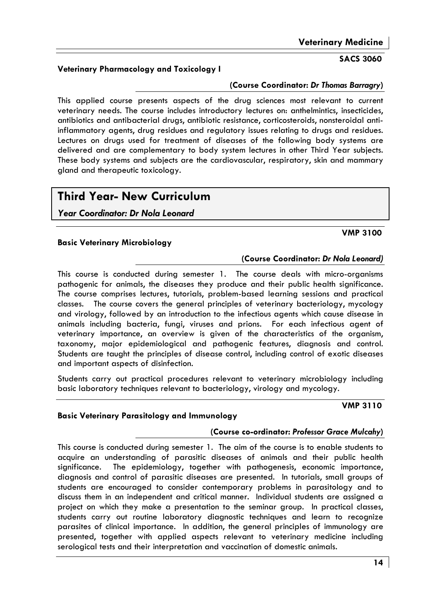### **SACS 3060**

### Veterinary Pharmacology and Toxicology I

### (Course Coordinator: Dr Thomas Barragry)

This applied course presents aspects of the drug sciences most relevant to current veterinary needs. The course includes introductory lectures on: anthelmintics, insecticides, antibiotics and antibacterial drugs, antibiotic resistance, corticosteroids, nonsteroidal antiinflammatory agents, drug residues and regulatory issues relating to drugs and residues. Lectures on drugs used for treatment of diseases of the following body systems are delivered and are complementary to body system lectures in other Third Year subjects. These body systems and subjects are the cardiovascular, respiratory, skin and mammary gland and therapeutic toxicology.

# **Third Year- New Curriculum**

Year Coordinator: Dr Nola Leonard

### **VMP 3100**

**VMP 3110** 

### **Basic Veterinary Microbiology**

### (Course Coordinator: Dr Nola Leonard)

This course is conducted during semester 1. The course deals with micro-organisms pathogenic for animals, the diseases they produce and their public health significance. The course comprises lectures, tutorials, problem-based learning sessions and practical classes. The course covers the general principles of veterinary bacteriology, mycology and virology, followed by an introduction to the infectious agents which cause disease in animals including bacteria, fungi, viruses and prions. For each infectious agent of veterinary importance, an overview is given of the characteristics of the organism, taxonomy, major epidemiological and pathogenic features, diagnosis and control. Students are taught the principles of disease control, including control of exotic diseases and important aspects of disinfection.

Students carry out practical procedures relevant to veterinary microbiology including basic laboratory techniques relevant to bacteriology, virology and mycology.

### **Basic Veterinary Parasitology and Immunology**

### (Course co-ordinator: Professor Grace Mulcahy)

This course is conducted during semester 1. The aim of the course is to enable students to acquire an understanding of parasitic diseases of animals and their public health sianificance. The epidemiology, together with pathogenesis, economic importance, diagnosis and control of parasitic diseases are presented. In tutorials, small groups of students are encouraged to consider contemporary problems in parasitology and to discuss them in an independent and critical manner. Individual students are assigned a project on which they make a presentation to the seminar group. In practical classes, students carry out routine laboratory diagnostic techniques and learn to recognize parasites of clinical importance. In addition, the general principles of immunology are presented, together with applied aspects relevant to veterinary medicine including serological tests and their interpretation and vaccination of domestic animals.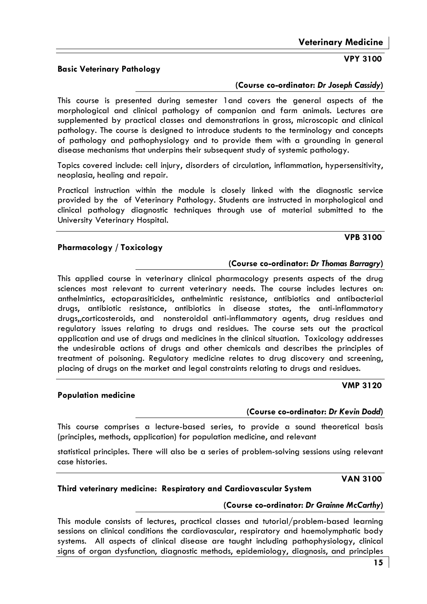### **Basic Veterinary Pathology**

### (Course co-ordinator: Dr Joseph Cassidy)

This course is presented during semester 1 and covers the general aspects of the morphological and clinical pathology of companion and farm animals. Lectures are supplemented by practical classes and demonstrations in gross, microscopic and clinical pathology. The course is designed to introduce students to the terminology and concepts of pathology and pathophysiology and to provide them with a grounding in general disease mechanisms that underpins their subsequent study of systemic pathology.

Topics covered include: cell injury, disorders of circulation, inflammation, hypersensitivity, neoplasia, healing and repair.

Practical instruction within the module is closely linked with the diagnostic service provided by the of Veterinary Pathology. Students are instructed in morphological and clinical pathology diagnostic techniques through use of material submitted to the University Veterinary Hospital.

### Pharmacology / Toxicology

**Population medicine** 

### (Course co-ordinator: Dr Thomas Barragry)

This applied course in veterinary clinical pharmacology presents aspects of the drug sciences most relevant to current veterinary needs. The course includes lectures on: anthelmintics, ectoparasiticides, anthelmintic resistance, antibiotics and antibacterial drugs, antibiotic resistance, antibiotics in disease states, the anti-inflammatory drugs, corticosteroids, and nonsteroidal anti-inflammatory agents, drug residues and requlatory issues relating to drugs and residues. The course sets out the practical application and use of drugs and medicines in the clinical situation. Toxicology addresses the undesirable actions of drugs and other chemicals and describes the principles of treatment of poisoning. Regulatory medicine relates to drug discovery and screening, placing of drugs on the market and legal constraints relating to drugs and residues.

# **VMP 3120**

### (Course co-ordinator: Dr Kevin Dodd)

This course comprises a lecture-based series, to provide a sound theoretical basis (principles, methods, application) for population medicine, and relevant

statistical principles. There will also be a series of problem-solving sessions using relevant case histories.

### **VAN 3100**

### Third veterinary medicine: Respiratory and Cardiovascular System

### (Course co-ordinator: Dr Grainne McCarthy)

This module consists of lectures, practical classes and tutorial/problem-based learning sessions on clinical conditions the cardiovascular, respiratory and haemolymphatic body systems. All aspects of clinical disease are taught including pathophysiology, clinical signs of organ dysfunction, diagnostic methods, epidemiology, diagnosis, and principles

### **VPB 3100**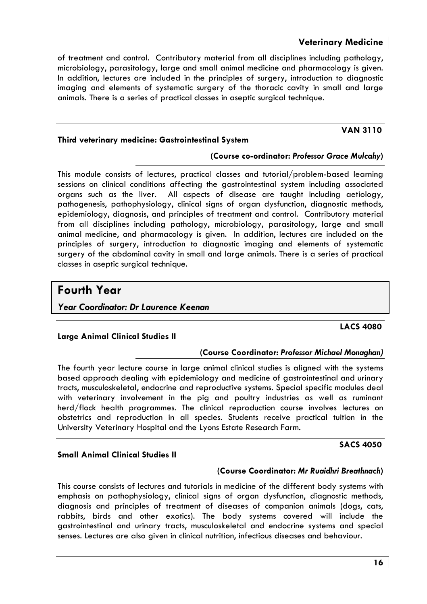**VAN 3110** 

of treatment and control. Contributory material from all disciplines including pathology, microbiology, parasitology, large and small animal medicine and pharmacology is given. In addition, lectures are included in the principles of surgery, introduction to diagnostic imaging and elements of systematic surgery of the thoracic cavity in small and large animals. There is a series of practical classes in aseptic surgical technique.

### Third veterinary medicine: Gastrointestinal System

### (Course co-ordinator: Professor Grace Mulcahy)

This module consists of lectures, practical classes and tutorial/problem-based learning sessions on clinical conditions affecting the gastrointestinal system including associated organs such as the liver. All aspects of disease are taught including aetiology, pathogenesis, pathophysiology, clinical signs of organ dysfunction, diagnostic methods, epidemiology, diagnosis, and principles of treatment and control. Contributory material from all disciplines including pathology, microbiology, parasitology, large and small animal medicine, and pharmacology is given. In addition, lectures are included on the principles of surgery, introduction to diagnostic imaging and elements of systematic surgery of the abdominal cavity in small and large animals. There is a series of practical classes in aseptic surgical technique.

### **Fourth Year**

Year Coordinator: Dr Laurence Keenan

### **Large Animal Clinical Studies II**

### (Course Coordinator: Professor Michael Monaghan)

The fourth year lecture course in large animal clinical studies is aligned with the systems based approach dealing with epidemiology and medicine of gastrointestinal and urinary tracts, musculoskeletal, endocrine and reproductive systems. Special specific modules deal with veterinary involvement in the pig and poultry industries as well as ruminant herd/flock health programmes. The clinical reproduction course involves lectures on obstetrics and reproduction in all species. Students receive practical tuition in the University Veterinary Hospital and the Lyons Estate Research Farm.

### **Small Animal Clinical Studies II**

### (Course Coordinator: Mr Ruaidhri Breathnach)

This course consists of lectures and tutorials in medicine of the different body systems with emphasis on pathophysiology, clinical signs of organ dysfunction, diagnostic methods, diagnosis and principles of treatment of diseases of companion animals (dogs, cats, rabbits, birds and other exotics). The body systems covered will include the gastrointestinal and urinary tracts, musculoskeletal and endocrine systems and special senses. Lectures are also given in clinical nutrition, infectious diseases and behaviour.

### **LACS 4080**

**SACS 4050**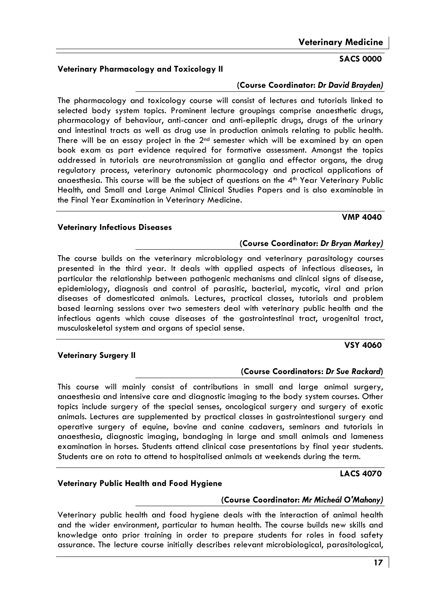### **Veterinary Medicine**

### **SACS 0000**

### (Course Coordinator: Dr David Brayden)

The pharmacology and toxicology course will consist of lectures and tutorials linked to selected body system topics. Prominent lecture groupings comprise anaesthetic drugs, pharmacology of behaviour, anti-cancer and anti-epileptic drugs, drugs of the urinary and intestinal tracts as well as drug use in production animals relating to public health. There will be an essay project in the 2<sup>nd</sup> semester which will be examined by an open book exam as part evidence required for formative assessment. Amonast the topics addressed in tutorials are neurotransmission at ganglia and effector organs, the drug requlatory process, veterinary autonomic pharmacology and practical applications of anaesthesia. This course will be the subject of questions on the 4<sup>th</sup> Year Veterinary Public Health, and Small and Large Animal Clinical Studies Papers and is also examinable in the Final Year Examination in Veterinary Medicine.

### **Veterinary Infectious Diseases**

The course builds on the veterinary microbiology and veterinary parasitology courses presented in the third year. It deals with applied aspects of infectious diseases, in particular the relationship between pathogenic mechanisms and clinical signs of disease, epidemiology, diagnosis and control of parasitic, bacterial, mycotic, viral and prion diseases of domesticated animals. Lectures, practical classes, tutorials and problem based learning sessions over two semesters deal with veterinary public health and the infectious agents which cause diseases of the gastrointestinal tract, urogenital tract, musculoskeletal system and organs of special sense.

### **Veterinary Surgery II**

### (Course Coordinators: Dr Sue Rackard)

(Course Coordinator: Dr Bryan Markey)

This course will mainly consist of contributions in small and large animal surgery, anaesthesia and intensive care and diagnostic imaging to the body system courses. Other topics include surgery of the special senses, oncological surgery and surgery of exotic animals. Lectures are supplemented by practical classes in gastrointestional surgery and operative surgery of equine, bovine and canine cadavers, seminars and tutorials in anaesthesia, diagnostic imaging, bandaging in large and small animals and lameness examination in horses. Students attend clinical case presentations by final year students. Students are on rota to attend to hospitalised animals at weekends during the term.

### **LACS 4070**

### Veterinary Public Health and Food Hygiene

### (Course Coordinator: Mr Micheál O'Mahony)

Veterinary public health and food hygiene deals with the interaction of animal health and the wider environment, particular to human health. The course builds new skills and knowledge onto prior training in order to prepare students for roles in food safety assurance. The lecture course initially describes relevant microbiological, parasitological,

### Veterinary Pharmacology and Toxicology II

# **VMP 4040**

**VSY 4060**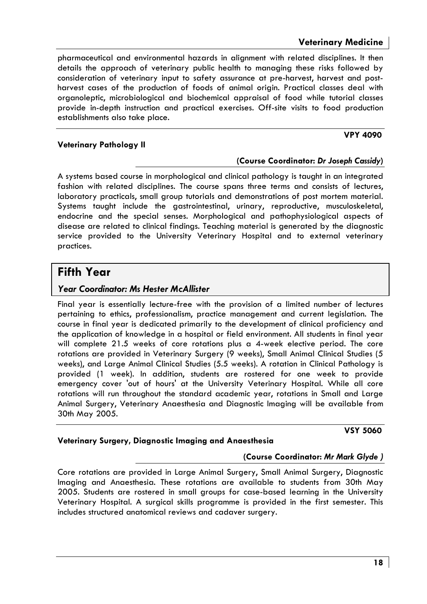**VSY 5060** 

**VPY 4090** 

pharmaceutical and environmental hazards in alignment with related disciplines. It then details the approach of veterinary public health to managing these risks followed by consideration of veterinary input to safety assurance at pre-harvest, harvest and postharvest cases of the production of foods of animal origin. Practical classes deal with organoleptic, microbiological and biochemical appraisal of food while tutorial classes provide in-depth instruction and practical exercises. Off-site visits to food production establishments also take place.

### **Veterinary Pathology II**

### (Course Coordinator: Dr Joseph Cassidy)

A systems based course in morphological and clinical pathology is taught in an integrated fashion with related disciplines. The course spans three terms and consists of lectures, laboratory practicals, small aroup tutorials and demonstrations of post mortem material. Systems taught include the agstrointestingl, uringry, reproductive, musculoskeletal, endocrine and the special senses. Morphological and pathophysiological aspects of disease are related to clinical findings. Teaching material is generated by the diagnostic service provided to the University Veterinary Hospital and to external veterinary practices.

### **Fifth Year**

### **Year Coordinator: Ms Hester McAllister**

Final year is essentially lecture-free with the provision of a limited number of lectures pertaining to ethics, professionalism, practice management and current legislation. The course in final year is dedicated primarily to the development of clinical proficiency and the application of knowledge in a hospital or field environment. All students in final year will complete 21.5 weeks of core rotations plus a 4-week elective period. The core rotations are provided in Veterinary Surgery (9 weeks), Small Animal Clinical Studies (5 weeks), and Large Animal Clinical Studies (5.5 weeks). A rotation in Clinical Pathology is provided (1 week). In addition, students are rostered for one week to provide emergency cover 'out of hours' at the University Veterinary Hospital. While all core rotations will run throughout the standard academic year, rotations in Small and Large Animal Surgery, Veterinary Anaesthesia and Diagnostic Imaging will be available from 30th May 2005.

### Veterinary Surgery, Diagnostic Imaging and Anaesthesia

### (Course Coordinator: Mr Mark Glyde)

Core rotations are provided in Large Animal Surgery, Small Animal Surgery, Diagnostic Imaging and Anaesthesia. These rotations are available to students from 30th May 2005. Students are rostered in small groups for case-based learning in the University Veterinary Hospital. A surgical skills programme is provided in the first semester. This includes structured anatomical reviews and cadaver surgery.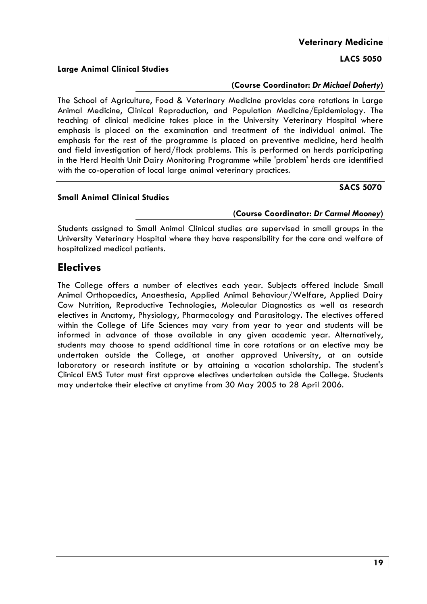### **LACS 5050**

**SACS 5070** 

### **Large Animal Clinical Studies**

### (Course Coordinator: Dr Michael Doherty)

The School of Agriculture, Food & Veterinary Medicine provides core rotations in Large Animal Medicine, Clinical Reproduction, and Population Medicine/Epidemiology. The teaching of clinical medicine takes place in the University Veterinary Hospital where emphasis is placed on the examination and treatment of the individual animal. The emphasis for the rest of the programme is placed on preventive medicine, herd health and field investigation of herd/flock problems. This is performed on herds participating in the Herd Health Unit Dairy Monitoring Programme while 'problem' herds are identified with the co-operation of local large animal veterinary practices.

### **Small Animal Clinical Studies**

### (Course Coordinator: Dr Carmel Mooney)

Students assigned to Small Animal Clinical studies are supervised in small groups in the University Veterinary Hospital where they have responsibility for the care and welfare of hospitalized medical patients.

# **Electives**

The College offers a number of electives each year. Subjects offered include Small Animal Orthopaedics, Anaesthesia, Applied Animal Behaviour/Welfare, Applied Dairy Cow Nutrition, Reproductive Technologies, Molecular Diagnostics as well as research electives in Anatomy, Physiology, Pharmacology and Parasitology. The electives offered within the College of Life Sciences may vary from year to year and students will be informed in advance of those available in any given academic year. Alternatively, students may choose to spend additional time in core rotations or an elective may be undertaken outside the College, at another approved University, at an outside laboratory or research institute or by attaining a vacation scholarship. The student's Clinical EMS Tutor must first approve electives undertaken outside the College. Students may undertake their elective at anytime from 30 May 2005 to 28 April 2006.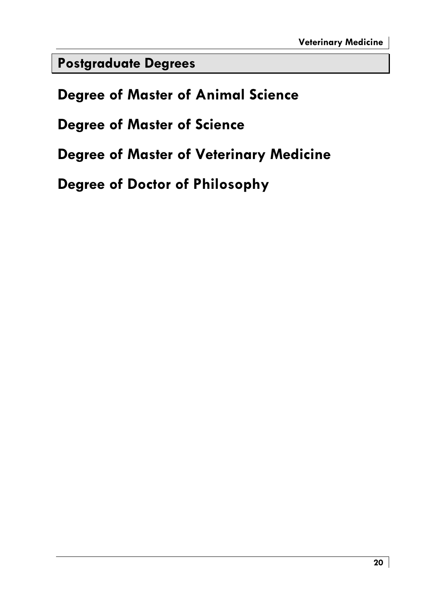**Postgraduate Degrees** 

**Degree of Master of Animal Science** 

**Degree of Master of Science** 

**Degree of Master of Veterinary Medicine** 

Degree of Doctor of Philosophy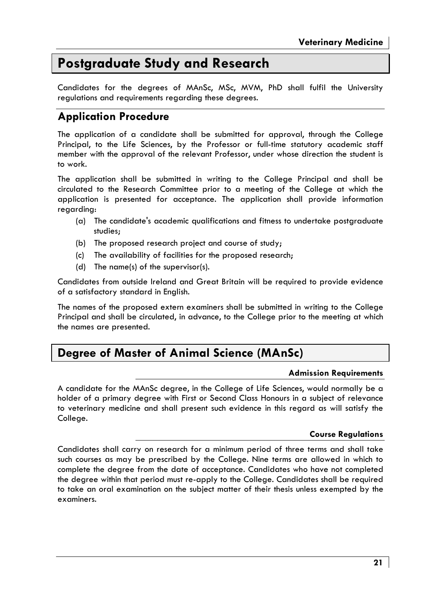# **Postgraduate Study and Research**

Candidates for the degrees of MAnSc, MSc, MVM, PhD shall fulfil the University regulations and requirements regarding these degrees.

## **Application Procedure**

The application of a candidate shall be submitted for approval, through the College Principal, to the Life Sciences, by the Professor or full-time statutory academic staff member with the approval of the relevant Professor, under whose direction the student is to work.

The application shall be submitted in writing to the College Principal and shall be circulated to the Research Committee prior to a meeting of the College at which the application is presented for acceptance. The application shall provide information reaardina:

- (a) The candidate's academic qualifications and fitness to undertake postgraduate studies:
- (b) The proposed research project and course of study;
- (c) The availability of facilities for the proposed research;
- (d) The name(s) of the supervisor(s).

Candidates from outside Ireland and Great Britain will be required to provide evidence of a satisfactory standard in English.

The names of the proposed extern examiners shall be submitted in writing to the College Principal and shall be circulated, in advance, to the College prior to the meeting at which the names are presented.

# Degree of Master of Animal Science (MAnSc)

### **Admission Requirements**

A candidate for the MAnSc degree, in the College of Life Sciences, would normally be a holder of a primary degree with First or Second Class Honours in a subject of relevance to veterinary medicine and shall present such evidence in this regard as will satisfy the College.

### **Course Regulations**

Candidates shall carry on research for a minimum period of three terms and shall take such courses as may be prescribed by the College. Nine terms are allowed in which to complete the degree from the date of acceptance. Candidates who have not completed the degree within that period must re-apply to the College. Candidates shall be required to take an oral examination on the subject matter of their thesis unless exempted by the examiners.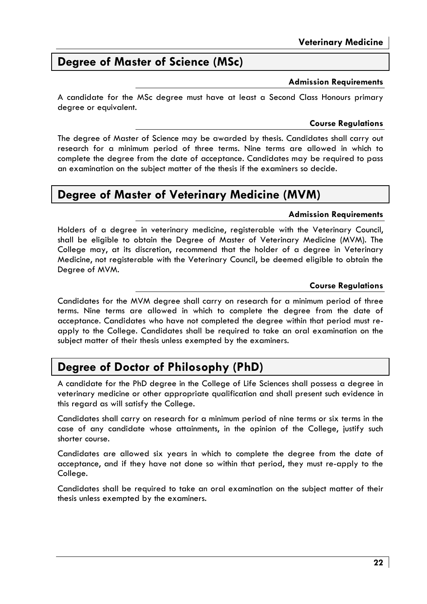# Degree of Master of Science (MSc)

### **Admission Requirements**

A candidate for the MSc dearee must have at least a Second Class Honours primary degree or equivalent.

### **Course Regulations**

The degree of Master of Science may be awarded by thesis. Candidates shall carry out research for a minimum period of three terms. Nine terms are allowed in which to complete the degree from the date of acceptance. Candidates may be required to pass an examination on the subject matter of the thesis if the examiners so decide.

### Degree of Master of Veterinary Medicine (MVM)

### **Admission Requirements**

Holders of a degree in veterinary medicine, registerable with the Veterinary Council, shall be eligible to obtain the Degree of Master of Veterinary Medicine (MVM). The College may, at its discretion, recommend that the holder of a degree in Veterinary Medicine, not registerable with the Veterinary Council, be deemed eligible to obtain the Degree of MVM.

### **Course Regulations**

Candidates for the MVM degree shall carry on research for a minimum period of three terms. Nine terms are allowed in which to complete the degree from the date of acceptance. Candidates who have not completed the degree within that period must reapply to the College. Candidates shall be required to take an oral examination on the subject matter of their thesis unless exempted by the examiners.

# Degree of Doctor of Philosophy (PhD)

A candidate for the PhD degree in the College of Life Sciences shall possess a degree in veterinary medicine or other appropriate qualification and shall present such evidence in this regard as will satisfy the College.

Candidates shall carry on research for a minimum period of nine terms or six terms in the case of any candidate whose attainments, in the opinion of the College, justify such shorter course.

Candidates are allowed six years in which to complete the degree from the date of acceptance, and if they have not done so within that period, they must re-apply to the College.

Candidates shall be required to take an oral examination on the subject matter of their thesis unless exempted by the examiners.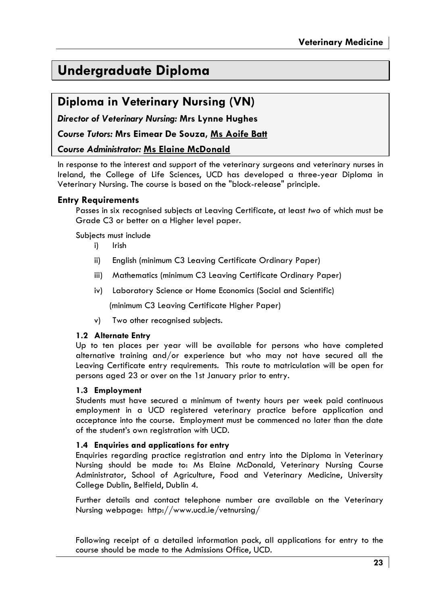# **Undergraduate Diploma**

# Diploma in Veterinary Nursing (VN)

**Director of Veterinary Nursing: Mrs Lynne Hughes** 

Course Tutors: Mrs Eimear De Souza, Ms Aoife Batt

### **Course Administrator: Ms Elaine McDonald**

In response to the interest and support of the veterinary surgeons and veterinary nurses in Ireland, the College of Life Sciences, UCD has developed a three-year Diploma in Veterinary Nursing. The course is based on the "block-release" principle.

### **Entry Requirements**

Passes in six recognised subjects at Leaving Certificate, at least two of which must be Grade C3 or better on a Higher level paper.

Subiects must include

- $i)$ Irish
- ii) English (minimum C3 Leaving Certificate Ordinary Paper)
- iii) Mathematics (minimum C3 Leaving Certificate Ordinary Paper)
- iv) Laboratory Science or Home Economics (Social and Scientific)

(minimum C3 Leaving Certificate Higher Paper)

Two other recognised subjects.  $\mathsf{v})$ 

### 1.2 Alternate Entry

Up to ten places per year will be available for persons who have completed alternative training and/or experience but who may not have secured all the Leaving Certificate entry requirements. This route to matriculation will be open for persons aged 23 or over on the 1st January prior to entry.

### 1.3 Employment

Students must have secured a minimum of twenty hours per week paid continuous employment in a UCD registered veterinary practice before application and acceptance into the course. Employment must be commenced no later than the date of the student's own registration with UCD.

### 1.4 Enquiries and applications for entry

Enquiries regarding practice registration and entry into the Diploma in Veterinary Nursing should be made to: Ms Elaine McDonald, Veterinary Nursing Course Administrator, School of Agriculture, Food and Veterinary Medicine, University College Dublin, Belfield, Dublin 4.

Further details and contact telephone number are available on the Veterinary Nursing webpage: http://www.ucd.ie/vetnursing/

Following receipt of a detailed information pack, all applications for entry to the course should be made to the Admissions Office, UCD.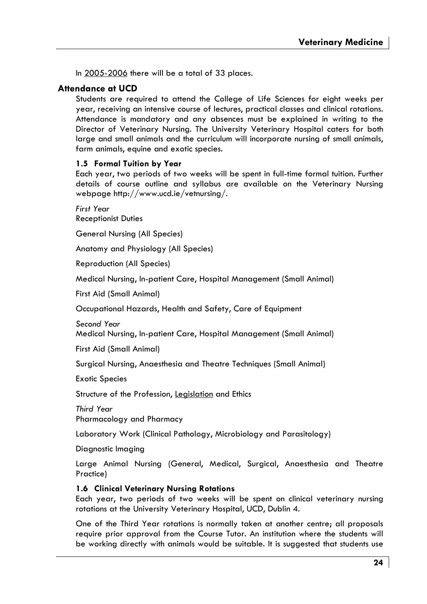In 2005-2006 there will be a total of 33 places.

### Attendance at LICD

Students are required to attend the College of Life Sciences for eight weeks per year, receiving an intensive course of lectures, practical classes and clinical rotations. Attendance is mandatory and any absences must be explained in writing to the Director of Veterinary Nursing. The University Veterinary Hospital caters for both large and small animals and the curriculum will incorporate nursing of small animals, farm animals, equine and exotic species.

### 1.5 Formal Tuition by Year

Each year, two periods of two weeks will be spent in full-time formal tuition. Further details of course outline and syllabus are available on the Veterinary Nursing webpage http://www.ucd.ie/vetnursing/.

First Year **Receptionist Duties** 

**General Nursing (All Species)** 

Anatomy and Physiology (All Species)

**Reproduction (All Species)** 

Medical Nursing, In-patient Care, Hospital Management (Small Animal)

First Aid (Small Animal)

Occupational Hazards, Health and Safety, Care of Equipment

Second Year

Medical Nursing, In-patient Care, Hospital Management (Small Animal)

First Aid (Small Animal)

Surgical Nursing, Anaesthesia and Theatre Techniques (Small Animal)

**Exotic Species** 

Structure of the Profession, Legislation and Ethics

Third Year Pharmacology and Pharmacy

Laboratory Work (Clinical Pathology, Microbiology and Parasitology)

Diagnostic Imaging

Large Animal Nursing (General, Medical, Surgical, Anaesthesia and Theatre Practice)

### 1.6 Clinical Veterinary Nursing Rotations

Each year, two periods of two weeks will be spent on clinical veterinary nursing rotations at the University Veterinary Hospital, UCD, Dublin 4.

One of the Third Year rotations is normally taken at another centre; all proposals require prior approval from the Course Tutor. An institution where the students will be working directly with animals would be suitable. It is suggested that students use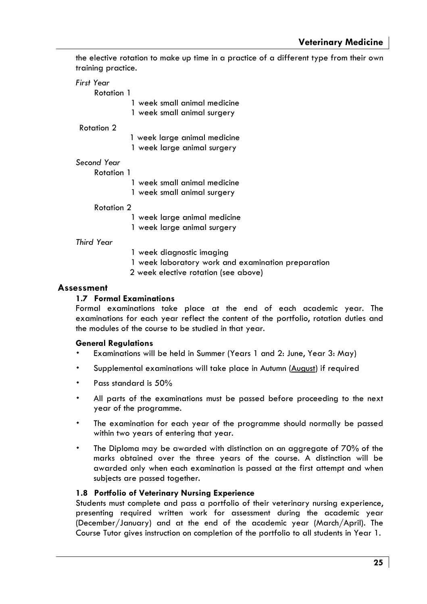the elective rotation to make up time in a practice of a different type from their own training practice.

First Year Rotation 1 1 week small animal medicine 1 week small animal surgery Rotation 2 1 week large animal medicine 1 week large animal surgery Second Year Rotation 1 1 week small animal medicine 1 week small animal surgery Rotation 2 1 week large animal medicine

1 week large animal surgery

Third Year

- 1 week diaanostic imaaina
- 1 week laboratory work and examination preparation
- 2 week elective rotation (see above)

### Assessment

### 1.7 Formal Examinations

Formal examinations take place at the end of each academic year. The examinations for each year reflect the content of the portfolio, rotation duties and the modules of the course to be studied in that year.

### **General Reaulations**

- Examinations will be held in Summer (Years 1 and 2: June, Year 3: May)
- Supplemental examinations will take place in Autumn (August) if required
- Pass standard is 50%
- All parts of the examinations must be passed before proceeding to the next year of the programme.
- The examination for each year of the programme should normally be passed within two years of entering that year.
- The Diploma may be awarded with distinction on an aggregate of 70% of the marks obtained over the three years of the course. A distinction will be awarded only when each examination is passed at the first attempt and when subjects are passed together.

### 1.8 Portfolio of Veterinary Nursing Experience

Students must complete and pass a portfolio of their veterinary nursing experience, presenting required written work for assessment during the academic year (December/January) and at the end of the academic year (March/April). The Course Tutor gives instruction on completion of the portfolio to all students in Year 1.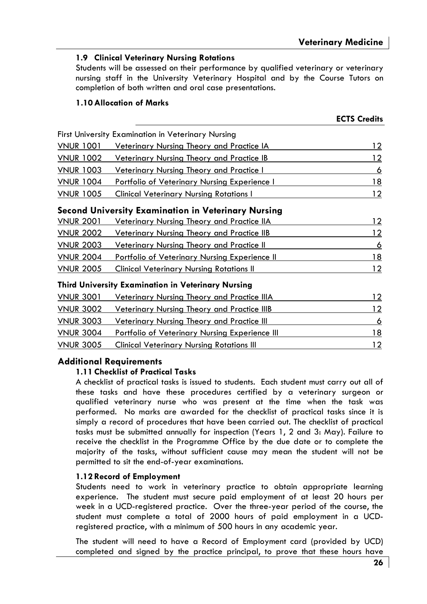### 1.9 Clinical Veterinary Nursina Rotations

Students will be assessed on their performance by qualified veterinary or veterinary nursing staff in the University Veterinary Hospital and by the Course Tutors on completion of both written and oral case presentations.

### 1.10 Allocation of Marks

|                  |                                                     | <b>ECTS Credits</b> |
|------------------|-----------------------------------------------------|---------------------|
|                  | First University Examination in Veterinary Nursing  |                     |
| <b>VNUR 1001</b> | Veterinary Nursing Theory and Practice IA           | 12                  |
| <b>VNUR 1002</b> | Veterinary Nursing Theory and Practice IB           | 12                  |
| <b>VNUR 1003</b> | <u>Veterinary Nursing Theory and Practice I</u>     | 6                   |
| <b>VNUR 1004</b> | Portfolio of Veterinary Nursing Experience I        | 18                  |
| <b>VNUR 1005</b> | <b>Clinical Veterinary Nursing Rotations I</b>      | 12                  |
|                  | Second University Examination in Veterinary Nursing |                     |
| <u>VNUR 2001</u> | <u>Veterinary Nursing Theory and Practice IIA</u>   | 12                  |
| <b>VNUR 2002</b> | <u>Veterinary Nursing Theory and Practice IIB</u>   | 12                  |
| <b>VNUR 2003</b> | <u>Veterinary Nursing Theory and Practice II</u>    | 6                   |
| <b>VNUR 2004</b> | Portfolio of Veterinary Nursing Experience II       | 18                  |
| <b>VNUR 2005</b> | <b>Clinical Veterinary Nursing Rotations II</b>     | 12                  |
|                  | Third University Examination in Veterinary Nursing  |                     |
| <b>VNUR 3001</b> | <b>Veterinary Nursing Theory and Practice IIIA</b>  | 12                  |
| <b>VNUR 3002</b> | Veterinary Nursing Theory and Practice IIIB         | 12                  |
| <b>VNUR 3003</b> | <u>Veterinary Nursing Theory and Practice III</u>   | 6                   |
| <b>VNUR 3004</b> | Portfolio of Veterinary Nursing Experience III      | 18                  |
| <b>VNUR 3005</b> | Clinical Veterinary Nursina Rotations III           | 12                  |

### **Additional Requirements**

### 1.11 Checklist of Practical Tasks

A checklist of practical tasks is issued to students. Each student must carry out all of these tasks and have these procedures certified by a veterinary surgeon or qualified veterinary nurse who was present at the time when the task was performed. No marks are awarded for the checklist of practical tasks since it is simply a record of procedures that have been carried out. The checklist of practical tasks must be submitted annually for inspection (Years 1, 2 and 3: May). Failure to receive the checklist in the Programme Office by the due date or to complete the majority of the tasks, without sufficient cause may mean the student will not be permitted to sit the end-of-year examinations.

### 1.12 Record of Employment

Students need to work in veterinary practice to obtain appropriate learning experience. The student must secure paid employment of at least 20 hours per week in a UCD-registered practice. Over the three-year period of the course, the student must complete a total of 2000 hours of paid employment in a UCDregistered practice, with a minimum of 500 hours in any academic year.

The student will need to have a Record of Employment card (provided by UCD) completed and signed by the practice principal, to prove that these hours have